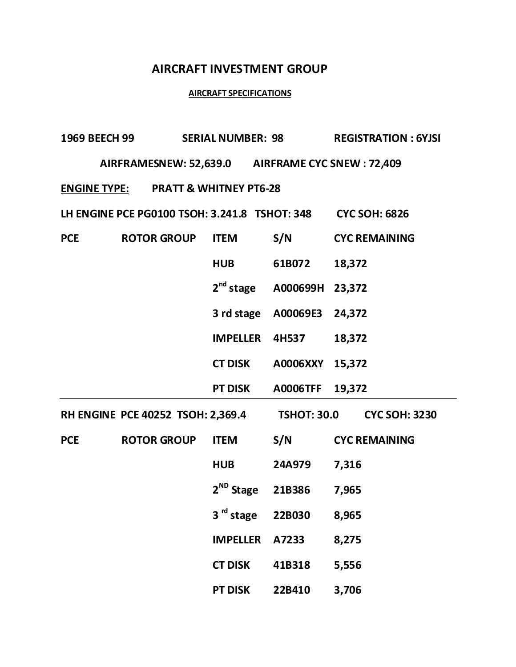## **AIRCRAFT INVESTMENT GROUP**

## **AIRCRAFT SPECIFICATIONS**

| 1969 BEECH 99                                  |                                                  | <b>SERIAL NUMBER: 98</b> |                    | <b>REGISTRATION: 6YJSI</b> |  |  |  |  |
|------------------------------------------------|--------------------------------------------------|--------------------------|--------------------|----------------------------|--|--|--|--|
|                                                | AIRFRAMESNEW: 52,639.0 AIRFRAME CYC SNEW: 72,409 |                          |                    |                            |  |  |  |  |
| <b>ENGINE TYPE: PRATT &amp; WHITNEY PT6-28</b> |                                                  |                          |                    |                            |  |  |  |  |
|                                                | LH ENGINE PCE PG0100 TSOH: 3.241.8 TSHOT: 348    |                          |                    | <b>CYC SOH: 6826</b>       |  |  |  |  |
| <b>PCE</b>                                     | <b>ROTOR GROUP</b>                               | <b>ITEM</b>              | S/N                | <b>CYC REMAINING</b>       |  |  |  |  |
|                                                |                                                  | <b>HUB</b>               | 61B072             | 18,372                     |  |  |  |  |
|                                                |                                                  | $2nd$ stage              | A000699H 23,372    |                            |  |  |  |  |
|                                                |                                                  | 3 rd stage               | A00069E3           | 24,372                     |  |  |  |  |
|                                                |                                                  | <b>IMPELLER</b>          | 4H537              | 18,372                     |  |  |  |  |
|                                                |                                                  | <b>CT DISK</b>           | A0006XXY           | 15,372                     |  |  |  |  |
|                                                |                                                  | <b>PT DISK</b>           | <b>A0006TFF</b>    | 19,372                     |  |  |  |  |
| <b>RH ENGINE PCE 40252 TSOH: 2,369.4</b>       |                                                  |                          | <b>TSHOT: 30.0</b> | <b>CYC SOH: 3230</b>       |  |  |  |  |
| <b>PCE</b>                                     | <b>ROTOR GROUP</b>                               | <b>ITEM</b>              | S/N                | <b>CYC REMAINING</b>       |  |  |  |  |
|                                                |                                                  | <b>HUB</b>               | <b>24A979</b>      | 7,316                      |  |  |  |  |
|                                                |                                                  | 2 <sup>ND</sup> Stage    | 21B386             | 7,965                      |  |  |  |  |
|                                                |                                                  | 3 <sup>rd</sup> stage    | 22B030             | 8,965                      |  |  |  |  |
|                                                |                                                  | <b>IMPELLER</b>          | A7233              | 8,275                      |  |  |  |  |
|                                                |                                                  | <b>CT DISK</b>           | 41B318             | 5,556                      |  |  |  |  |
|                                                |                                                  | <b>PT DISK</b>           | 22B410             | 3,706                      |  |  |  |  |